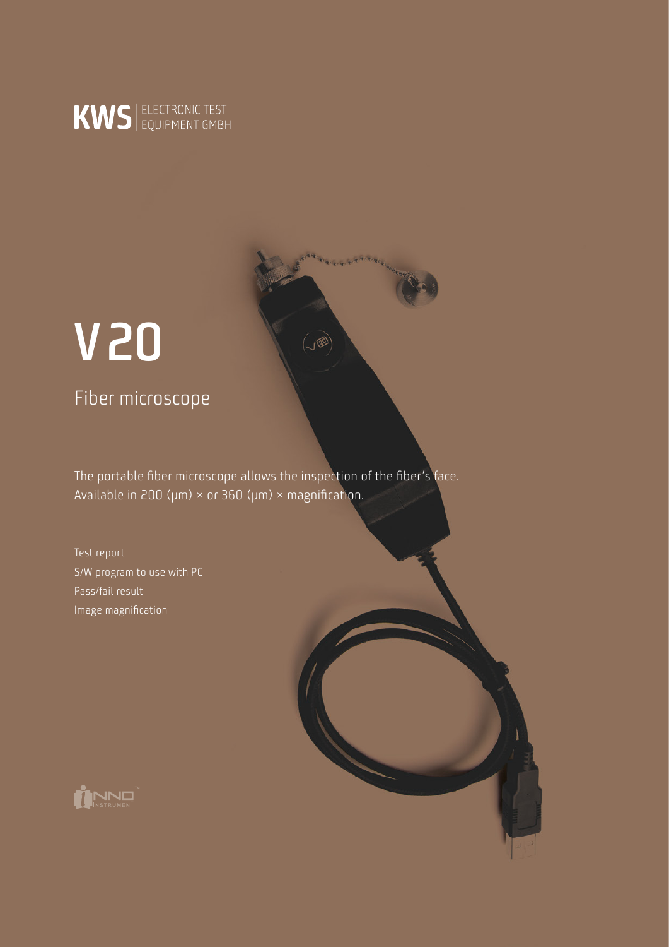

# **V20**

Fiber microscope

The portable fiber microscope allows the inspection of the fiber's face. Available in 200 ( $\mu$ m) × or 360 ( $\mu$ m) × magnification.

 $\sqrt{2}$ 

Test report S/W program to use with PC Pass/fail result Image magnification